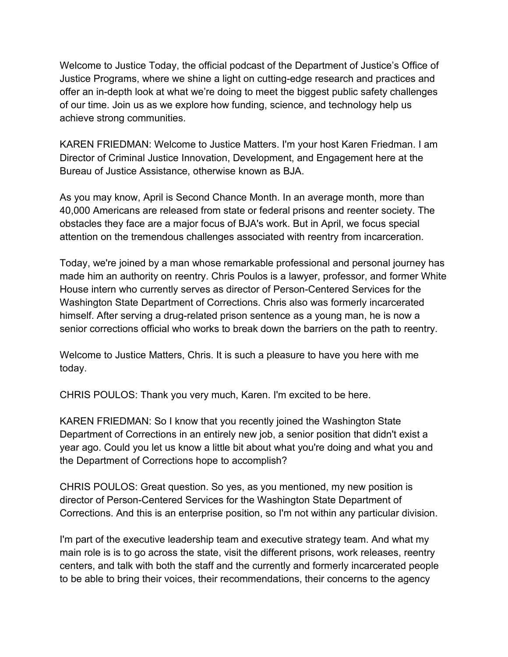Welcome to Justice Today, the official podcast of the Department of Justice's Office of Justice Programs, where we shine a light on cutting-edge research and practices and offer an in-depth look at what we're doing to meet the biggest public safety challenges of our time. Join us as we explore how funding, science, and technology help us achieve strong communities.

KAREN FRIEDMAN: Welcome to Justice Matters. I'm your host Karen Friedman. I am Director of Criminal Justice Innovation, Development, and Engagement here at the Bureau of Justice Assistance, otherwise known as BJA.

As you may know, April is Second Chance Month. In an average month, more than 40,000 Americans are released from state or federal prisons and reenter society. The obstacles they face are a major focus of BJA's work. But in April, we focus special attention on the tremendous challenges associated with reentry from incarceration.

Today, we're joined by a man whose remarkable professional and personal journey has made him an authority on reentry. Chris Poulos is a lawyer, professor, and former White House intern who currently serves as director of Person-Centered Services for the Washington State Department of Corrections. Chris also was formerly incarcerated himself. After serving a drug-related prison sentence as a young man, he is now a senior corrections official who works to break down the barriers on the path to reentry.

Welcome to Justice Matters, Chris. It is such a pleasure to have you here with me today.

CHRIS POULOS: Thank you very much, Karen. I'm excited to be here.

KAREN FRIEDMAN: So I know that you recently joined the Washington State Department of Corrections in an entirely new job, a senior position that didn't exist a year ago. Could you let us know a little bit about what you're doing and what you and the Department of Corrections hope to accomplish?

CHRIS POULOS: Great question. So yes, as you mentioned, my new position is director of Person-Centered Services for the Washington State Department of Corrections. And this is an enterprise position, so I'm not within any particular division.

I'm part of the executive leadership team and executive strategy team. And what my main role is is to go across the state, visit the different prisons, work releases, reentry centers, and talk with both the staff and the currently and formerly incarcerated people to be able to bring their voices, their recommendations, their concerns to the agency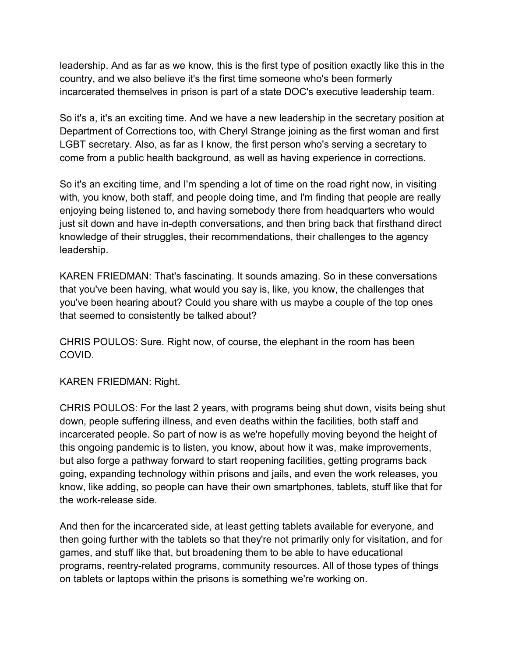leadership. And as far as we know, this is the first type of position exactly like this in the country, and we also believe it's the first time someone who's been formerly incarcerated themselves in prison is part of a state DOC's executive leadership team.

So it's a, it's an exciting time. And we have a new leadership in the secretary position at Department of Corrections too, with Cheryl Strange joining as the first woman and first LGBT secretary. Also, as far as I know, the first person who's serving a secretary to come from a public health background, as well as having experience in corrections.

So it's an exciting time, and I'm spending a lot of time on the road right now, in visiting with, you know, both staff, and people doing time, and I'm finding that people are really enjoying being listened to, and having somebody there from headquarters who would just sit down and have in-depth conversations, and then bring back that firsthand direct knowledge of their struggles, their recommendations, their challenges to the agency leadership.

KAREN FRIEDMAN: That's fascinating. It sounds amazing. So in these conversations that you've been having, what would you say is, like, you know, the challenges that you've been hearing about? Could you share with us maybe a couple of the top ones that seemed to consistently be talked about?

CHRIS POULOS: Sure. Right now, of course, the elephant in the room has been COVID.

## KAREN FRIEDMAN: Right.

CHRIS POULOS: For the last 2 years, with programs being shut down, visits being shut down, people suffering illness, and even deaths within the facilities, both staff and incarcerated people. So part of now is as we're hopefully moving beyond the height of this ongoing pandemic is to listen, you know, about how it was, make improvements, but also forge a pathway forward to start reopening facilities, getting programs back going, expanding technology within prisons and jails, and even the work releases, you know, like adding, so people can have their own smartphones, tablets, stuff like that for the work-release side.

And then for the incarcerated side, at least getting tablets available for everyone, and then going further with the tablets so that they're not primarily only for visitation, and for games, and stuff like that, but broadening them to be able to have educational programs, reentry-related programs, community resources. All of those types of things on tablets or laptops within the prisons is something we're working on.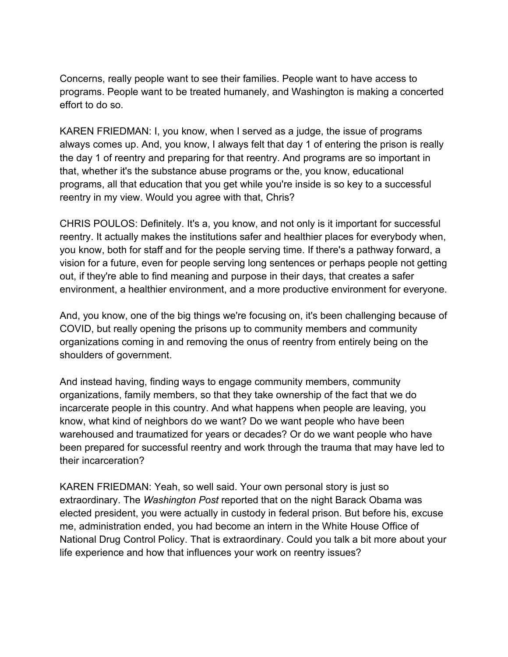Concerns, really people want to see their families. People want to have access to programs. People want to be treated humanely, and Washington is making a concerted effort to do so.

KAREN FRIEDMAN: I, you know, when I served as a judge, the issue of programs always comes up. And, you know, I always felt that day 1 of entering the prison is really the day 1 of reentry and preparing for that reentry. And programs are so important in that, whether it's the substance abuse programs or the, you know, educational programs, all that education that you get while you're inside is so key to a successful reentry in my view. Would you agree with that, Chris?

CHRIS POULOS: Definitely. It's a, you know, and not only is it important for successful reentry. It actually makes the institutions safer and healthier places for everybody when, you know, both for staff and for the people serving time. If there's a pathway forward, a vision for a future, even for people serving long sentences or perhaps people not getting out, if they're able to find meaning and purpose in their days, that creates a safer environment, a healthier environment, and a more productive environment for everyone.

And, you know, one of the big things we're focusing on, it's been challenging because of COVID, but really opening the prisons up to community members and community organizations coming in and removing the onus of reentry from entirely being on the shoulders of government.

And instead having, finding ways to engage community members, community organizations, family members, so that they take ownership of the fact that we do incarcerate people in this country. And what happens when people are leaving, you know, what kind of neighbors do we want? Do we want people who have been warehoused and traumatized for years or decades? Or do we want people who have been prepared for successful reentry and work through the trauma that may have led to their incarceration?

KAREN FRIEDMAN: Yeah, so well said. Your own personal story is just so extraordinary. The *Washington Post* reported that on the night Barack Obama was elected president, you were actually in custody in federal prison. But before his, excuse me, administration ended, you had become an intern in the White House Office of National Drug Control Policy. That is extraordinary. Could you talk a bit more about your life experience and how that influences your work on reentry issues?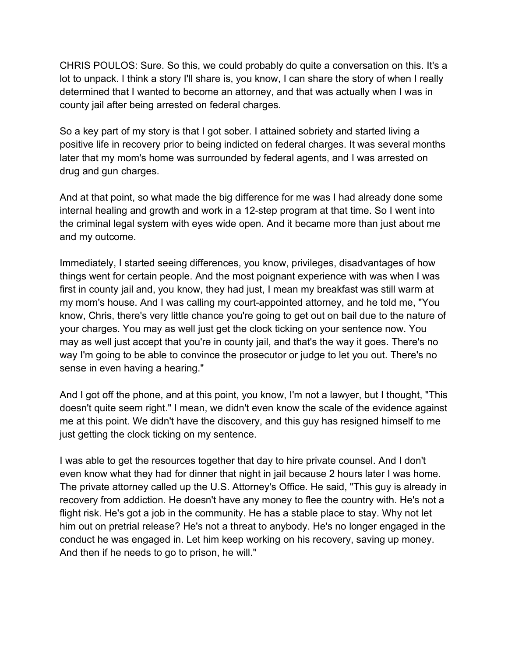CHRIS POULOS: Sure. So this, we could probably do quite a conversation on this. It's a lot to unpack. I think a story I'll share is, you know, I can share the story of when I really determined that I wanted to become an attorney, and that was actually when I was in county jail after being arrested on federal charges.

So a key part of my story is that I got sober. I attained sobriety and started living a positive life in recovery prior to being indicted on federal charges. It was several months later that my mom's home was surrounded by federal agents, and I was arrested on drug and gun charges.

And at that point, so what made the big difference for me was I had already done some internal healing and growth and work in a 12-step program at that time. So I went into the criminal legal system with eyes wide open. And it became more than just about me and my outcome.

Immediately, I started seeing differences, you know, privileges, disadvantages of how things went for certain people. And the most poignant experience with was when I was first in county jail and, you know, they had just, I mean my breakfast was still warm at my mom's house. And I was calling my court-appointed attorney, and he told me, "You know, Chris, there's very little chance you're going to get out on bail due to the nature of your charges. You may as well just get the clock ticking on your sentence now. You may as well just accept that you're in county jail, and that's the way it goes. There's no way I'm going to be able to convince the prosecutor or judge to let you out. There's no sense in even having a hearing."

And I got off the phone, and at this point, you know, I'm not a lawyer, but I thought, "This doesn't quite seem right." I mean, we didn't even know the scale of the evidence against me at this point. We didn't have the discovery, and this guy has resigned himself to me just getting the clock ticking on my sentence.

I was able to get the resources together that day to hire private counsel. And I don't even know what they had for dinner that night in jail because 2 hours later I was home. The private attorney called up the U.S. Attorney's Office. He said, "This guy is already in recovery from addiction. He doesn't have any money to flee the country with. He's not a flight risk. He's got a job in the community. He has a stable place to stay. Why not let him out on pretrial release? He's not a threat to anybody. He's no longer engaged in the conduct he was engaged in. Let him keep working on his recovery, saving up money. And then if he needs to go to prison, he will."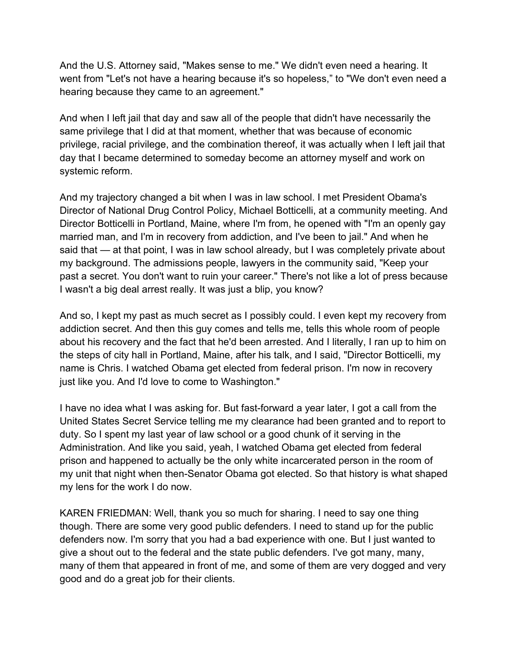And the U.S. Attorney said, "Makes sense to me." We didn't even need a hearing. It went from "Let's not have a hearing because it's so hopeless," to "We don't even need a hearing because they came to an agreement."

And when I left jail that day and saw all of the people that didn't have necessarily the same privilege that I did at that moment, whether that was because of economic privilege, racial privilege, and the combination thereof, it was actually when I left jail that day that I became determined to someday become an attorney myself and work on systemic reform.

And my trajectory changed a bit when I was in law school. I met President Obama's Director of National Drug Control Policy, Michael Botticelli, at a community meeting. And Director Botticelli in Portland, Maine, where I'm from, he opened with "I'm an openly gay married man, and I'm in recovery from addiction, and I've been to jail." And when he said that — at that point, I was in law school already, but I was completely private about my background. The admissions people, lawyers in the community said, "Keep your past a secret. You don't want to ruin your career." There's not like a lot of press because I wasn't a big deal arrest really. It was just a blip, you know?

And so, I kept my past as much secret as I possibly could. I even kept my recovery from addiction secret. And then this guy comes and tells me, tells this whole room of people about his recovery and the fact that he'd been arrested. And I literally, I ran up to him on the steps of city hall in Portland, Maine, after his talk, and I said, "Director Botticelli, my name is Chris. I watched Obama get elected from federal prison. I'm now in recovery just like you. And I'd love to come to Washington."

I have no idea what I was asking for. But fast-forward a year later, I got a call from the United States Secret Service telling me my clearance had been granted and to report to duty. So I spent my last year of law school or a good chunk of it serving in the Administration. And like you said, yeah, I watched Obama get elected from federal prison and happened to actually be the only white incarcerated person in the room of my unit that night when then-Senator Obama got elected. So that history is what shaped my lens for the work I do now.

KAREN FRIEDMAN: Well, thank you so much for sharing. I need to say one thing though. There are some very good public defenders. I need to stand up for the public defenders now. I'm sorry that you had a bad experience with one. But I just wanted to give a shout out to the federal and the state public defenders. I've got many, many, many of them that appeared in front of me, and some of them are very dogged and very good and do a great job for their clients.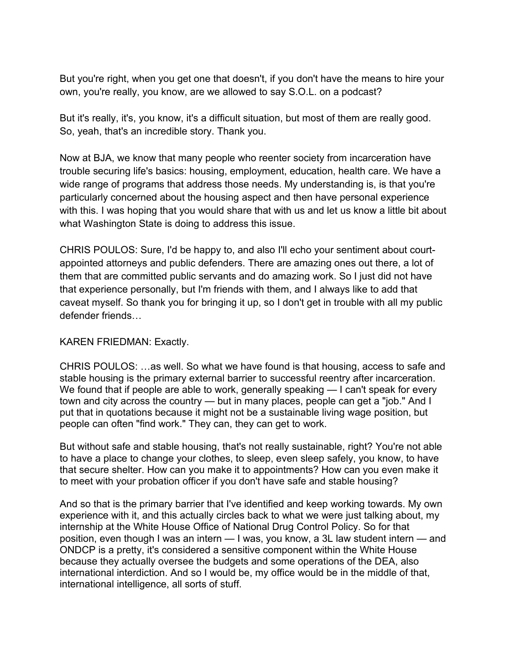But you're right, when you get one that doesn't, if you don't have the means to hire your own, you're really, you know, are we allowed to say S.O.L. on a podcast?

But it's really, it's, you know, it's a difficult situation, but most of them are really good. So, yeah, that's an incredible story. Thank you.

Now at BJA, we know that many people who reenter society from incarceration have trouble securing life's basics: housing, employment, education, health care. We have a wide range of programs that address those needs. My understanding is, is that you're particularly concerned about the housing aspect and then have personal experience with this. I was hoping that you would share that with us and let us know a little bit about what Washington State is doing to address this issue.

CHRIS POULOS: Sure, I'd be happy to, and also I'll echo your sentiment about courtappointed attorneys and public defenders. There are amazing ones out there, a lot of them that are committed public servants and do amazing work. So I just did not have that experience personally, but I'm friends with them, and I always like to add that caveat myself. So thank you for bringing it up, so I don't get in trouble with all my public defender friends…

## KAREN FRIEDMAN: Exactly.

CHRIS POULOS: …as well. So what we have found is that housing, access to safe and stable housing is the primary external barrier to successful reentry after incarceration. We found that if people are able to work, generally speaking — I can't speak for every town and city across the country — but in many places, people can get a "job." And I put that in quotations because it might not be a sustainable living wage position, but people can often "find work." They can, they can get to work.

But without safe and stable housing, that's not really sustainable, right? You're not able to have a place to change your clothes, to sleep, even sleep safely, you know, to have that secure shelter. How can you make it to appointments? How can you even make it to meet with your probation officer if you don't have safe and stable housing?

And so that is the primary barrier that I've identified and keep working towards. My own experience with it, and this actually circles back to what we were just talking about, my internship at the White House Office of National Drug Control Policy. So for that position, even though I was an intern — I was, you know, a 3L law student intern — and ONDCP is a pretty, it's considered a sensitive component within the White House because they actually oversee the budgets and some operations of the DEA, also international interdiction. And so I would be, my office would be in the middle of that, international intelligence, all sorts of stuff.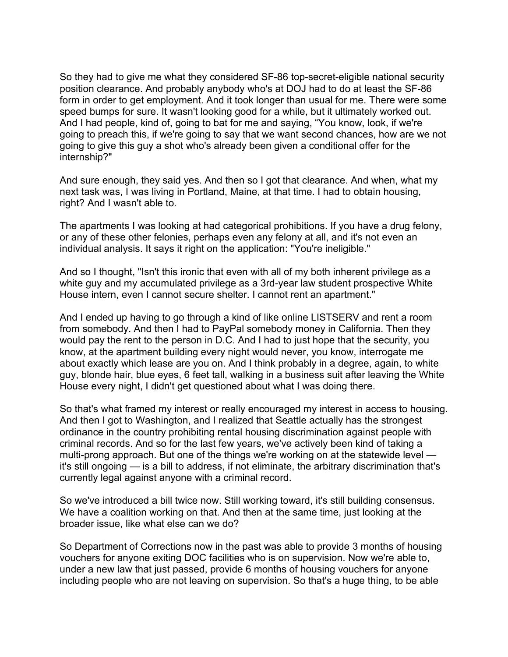So they had to give me what they considered SF-86 top-secret-eligible national security position clearance. And probably anybody who's at DOJ had to do at least the SF-86 form in order to get employment. And it took longer than usual for me. There were some speed bumps for sure. It wasn't looking good for a while, but it ultimately worked out. And I had people, kind of, going to bat for me and saying, "You know, look, if we're going to preach this, if we're going to say that we want second chances, how are we not going to give this guy a shot who's already been given a conditional offer for the internship?"

And sure enough, they said yes. And then so I got that clearance. And when, what my next task was, I was living in Portland, Maine, at that time. I had to obtain housing, right? And I wasn't able to.

The apartments I was looking at had categorical prohibitions. If you have a drug felony, or any of these other felonies, perhaps even any felony at all, and it's not even an individual analysis. It says it right on the application: "You're ineligible."

And so I thought, "Isn't this ironic that even with all of my both inherent privilege as a white guy and my accumulated privilege as a 3rd-year law student prospective White House intern, even I cannot secure shelter. I cannot rent an apartment."

And I ended up having to go through a kind of like online LISTSERV and rent a room from somebody. And then I had to PayPal somebody money in California. Then they would pay the rent to the person in D.C. And I had to just hope that the security, you know, at the apartment building every night would never, you know, interrogate me about exactly which lease are you on. And I think probably in a degree, again, to white guy, blonde hair, blue eyes, 6 feet tall, walking in a business suit after leaving the White House every night, I didn't get questioned about what I was doing there.

So that's what framed my interest or really encouraged my interest in access to housing. And then I got to Washington, and I realized that Seattle actually has the strongest ordinance in the country prohibiting rental housing discrimination against people with criminal records. And so for the last few years, we've actively been kind of taking a multi-prong approach. But one of the things we're working on at the statewide level it's still ongoing — is a bill to address, if not eliminate, the arbitrary discrimination that's currently legal against anyone with a criminal record.

So we've introduced a bill twice now. Still working toward, it's still building consensus. We have a coalition working on that. And then at the same time, just looking at the broader issue, like what else can we do?

So Department of Corrections now in the past was able to provide 3 months of housing vouchers for anyone exiting DOC facilities who is on supervision. Now we're able to, under a new law that just passed, provide 6 months of housing vouchers for anyone including people who are not leaving on supervision. So that's a huge thing, to be able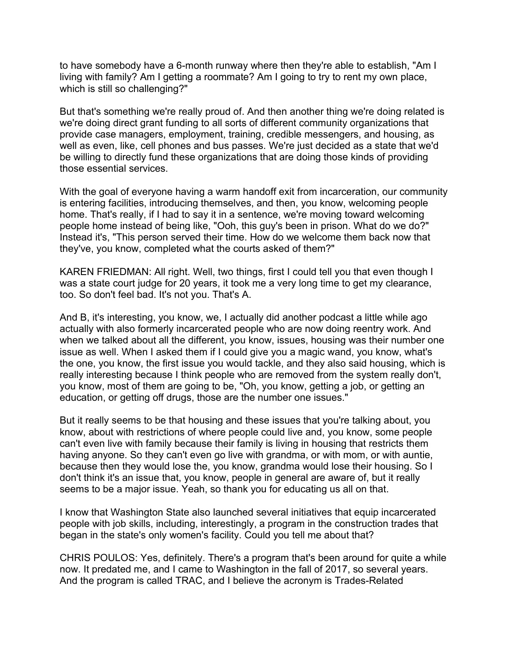to have somebody have a 6-month runway where then they're able to establish, "Am I living with family? Am I getting a roommate? Am I going to try to rent my own place, which is still so challenging?"

But that's something we're really proud of. And then another thing we're doing related is we're doing direct grant funding to all sorts of different community organizations that provide case managers, employment, training, credible messengers, and housing, as well as even, like, cell phones and bus passes. We're just decided as a state that we'd be willing to directly fund these organizations that are doing those kinds of providing those essential services.

With the goal of everyone having a warm handoff exit from incarceration, our community is entering facilities, introducing themselves, and then, you know, welcoming people home. That's really, if I had to say it in a sentence, we're moving toward welcoming people home instead of being like, "Ooh, this guy's been in prison. What do we do?" Instead it's, "This person served their time. How do we welcome them back now that they've, you know, completed what the courts asked of them?"

KAREN FRIEDMAN: All right. Well, two things, first I could tell you that even though I was a state court judge for 20 years, it took me a very long time to get my clearance, too. So don't feel bad. It's not you. That's A.

And B, it's interesting, you know, we, I actually did another podcast a little while ago actually with also formerly incarcerated people who are now doing reentry work. And when we talked about all the different, you know, issues, housing was their number one issue as well. When I asked them if I could give you a magic wand, you know, what's the one, you know, the first issue you would tackle, and they also said housing, which is really interesting because I think people who are removed from the system really don't, you know, most of them are going to be, "Oh, you know, getting a job, or getting an education, or getting off drugs, those are the number one issues."

But it really seems to be that housing and these issues that you're talking about, you know, about with restrictions of where people could live and, you know, some people can't even live with family because their family is living in housing that restricts them having anyone. So they can't even go live with grandma, or with mom, or with auntie, because then they would lose the, you know, grandma would lose their housing. So I don't think it's an issue that, you know, people in general are aware of, but it really seems to be a major issue. Yeah, so thank you for educating us all on that.

I know that Washington State also launched several initiatives that equip incarcerated people with job skills, including, interestingly, a program in the construction trades that began in the state's only women's facility. Could you tell me about that?

CHRIS POULOS: Yes, definitely. There's a program that's been around for quite a while now. It predated me, and I came to Washington in the fall of 2017, so several years. And the program is called TRAC, and I believe the acronym is Trades-Related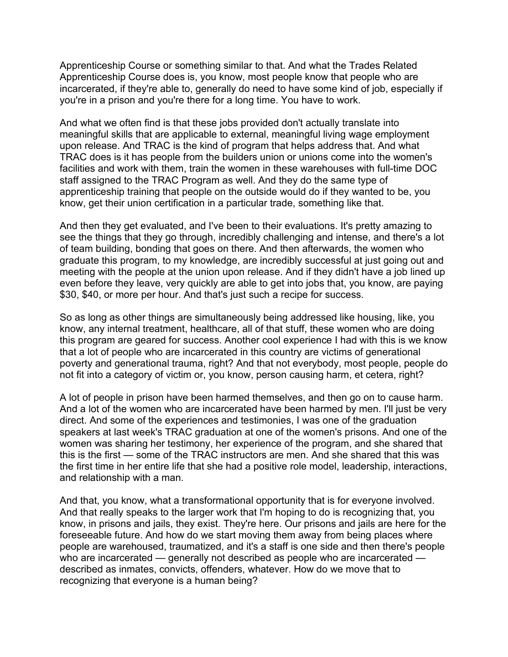Apprenticeship Course or something similar to that. And what the Trades Related Apprenticeship Course does is, you know, most people know that people who are incarcerated, if they're able to, generally do need to have some kind of job, especially if you're in a prison and you're there for a long time. You have to work.

And what we often find is that these jobs provided don't actually translate into meaningful skills that are applicable to external, meaningful living wage employment upon release. And TRAC is the kind of program that helps address that. And what TRAC does is it has people from the builders union or unions come into the women's facilities and work with them, train the women in these warehouses with full-time DOC staff assigned to the TRAC Program as well. And they do the same type of apprenticeship training that people on the outside would do if they wanted to be, you know, get their union certification in a particular trade, something like that.

And then they get evaluated, and I've been to their evaluations. It's pretty amazing to see the things that they go through, incredibly challenging and intense, and there's a lot of team building, bonding that goes on there. And then afterwards, the women who graduate this program, to my knowledge, are incredibly successful at just going out and meeting with the people at the union upon release. And if they didn't have a job lined up even before they leave, very quickly are able to get into jobs that, you know, are paying \$30, \$40, or more per hour. And that's just such a recipe for success.

So as long as other things are simultaneously being addressed like housing, like, you know, any internal treatment, healthcare, all of that stuff, these women who are doing this program are geared for success. Another cool experience I had with this is we know that a lot of people who are incarcerated in this country are victims of generational poverty and generational trauma, right? And that not everybody, most people, people do not fit into a category of victim or, you know, person causing harm, et cetera, right?

A lot of people in prison have been harmed themselves, and then go on to cause harm. And a lot of the women who are incarcerated have been harmed by men. I'll just be very direct. And some of the experiences and testimonies, I was one of the graduation speakers at last week's TRAC graduation at one of the women's prisons. And one of the women was sharing her testimony, her experience of the program, and she shared that this is the first — some of the TRAC instructors are men. And she shared that this was the first time in her entire life that she had a positive role model, leadership, interactions, and relationship with a man.

And that, you know, what a transformational opportunity that is for everyone involved. And that really speaks to the larger work that I'm hoping to do is recognizing that, you know, in prisons and jails, they exist. They're here. Our prisons and jails are here for the foreseeable future. And how do we start moving them away from being places where people are warehoused, traumatized, and it's a staff is one side and then there's people who are incarcerated — generally not described as people who are incarcerated described as inmates, convicts, offenders, whatever. How do we move that to recognizing that everyone is a human being?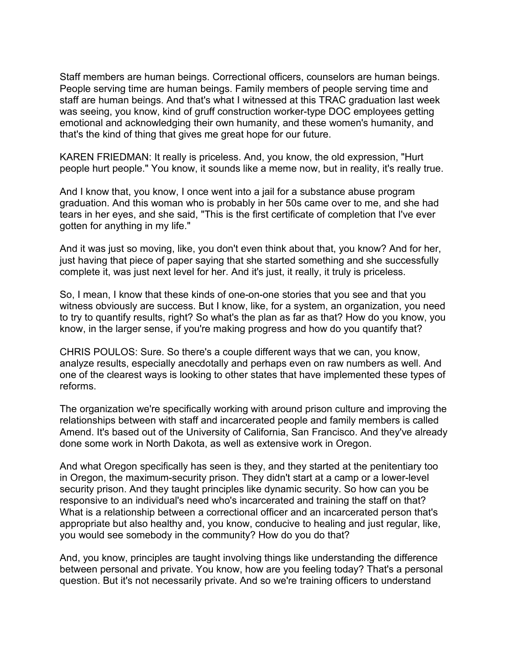Staff members are human beings. Correctional officers, counselors are human beings. People serving time are human beings. Family members of people serving time and staff are human beings. And that's what I witnessed at this TRAC graduation last week was seeing, you know, kind of gruff construction worker-type DOC employees getting emotional and acknowledging their own humanity, and these women's humanity, and that's the kind of thing that gives me great hope for our future.

KAREN FRIEDMAN: It really is priceless. And, you know, the old expression, "Hurt people hurt people." You know, it sounds like a meme now, but in reality, it's really true.

And I know that, you know, I once went into a jail for a substance abuse program graduation. And this woman who is probably in her 50s came over to me, and she had tears in her eyes, and she said, "This is the first certificate of completion that I've ever gotten for anything in my life."

And it was just so moving, like, you don't even think about that, you know? And for her, just having that piece of paper saying that she started something and she successfully complete it, was just next level for her. And it's just, it really, it truly is priceless.

So, I mean, I know that these kinds of one-on-one stories that you see and that you witness obviously are success. But I know, like, for a system, an organization, you need to try to quantify results, right? So what's the plan as far as that? How do you know, you know, in the larger sense, if you're making progress and how do you quantify that?

CHRIS POULOS: Sure. So there's a couple different ways that we can, you know, analyze results, especially anecdotally and perhaps even on raw numbers as well. And one of the clearest ways is looking to other states that have implemented these types of reforms.

The organization we're specifically working with around prison culture and improving the relationships between with staff and incarcerated people and family members is called Amend. It's based out of the University of California, San Francisco. And they've already done some work in North Dakota, as well as extensive work in Oregon.

And what Oregon specifically has seen is they, and they started at the penitentiary too in Oregon, the maximum-security prison. They didn't start at a camp or a lower-level security prison. And they taught principles like dynamic security. So how can you be responsive to an individual's need who's incarcerated and training the staff on that? What is a relationship between a correctional officer and an incarcerated person that's appropriate but also healthy and, you know, conducive to healing and just regular, like, you would see somebody in the community? How do you do that?

And, you know, principles are taught involving things like understanding the difference between personal and private. You know, how are you feeling today? That's a personal question. But it's not necessarily private. And so we're training officers to understand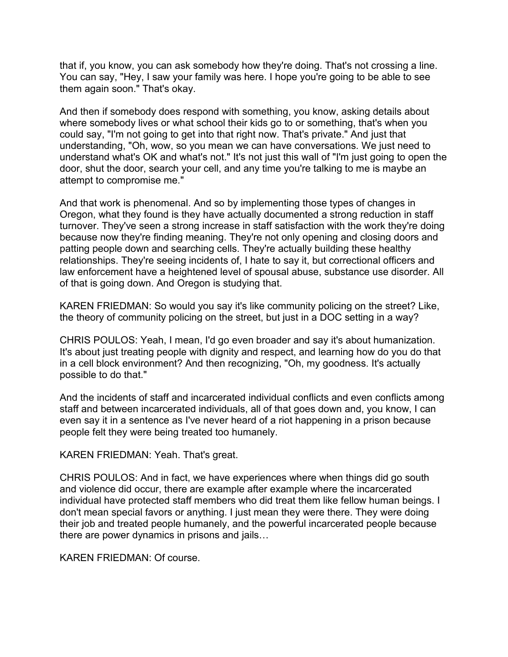that if, you know, you can ask somebody how they're doing. That's not crossing a line. You can say, "Hey, I saw your family was here. I hope you're going to be able to see them again soon." That's okay.

And then if somebody does respond with something, you know, asking details about where somebody lives or what school their kids go to or something, that's when you could say, "I'm not going to get into that right now. That's private." And just that understanding, "Oh, wow, so you mean we can have conversations. We just need to understand what's OK and what's not." It's not just this wall of "I'm just going to open the door, shut the door, search your cell, and any time you're talking to me is maybe an attempt to compromise me."

And that work is phenomenal. And so by implementing those types of changes in Oregon, what they found is they have actually documented a strong reduction in staff turnover. They've seen a strong increase in staff satisfaction with the work they're doing because now they're finding meaning. They're not only opening and closing doors and patting people down and searching cells. They're actually building these healthy relationships. They're seeing incidents of, I hate to say it, but correctional officers and law enforcement have a heightened level of spousal abuse, substance use disorder. All of that is going down. And Oregon is studying that.

KAREN FRIEDMAN: So would you say it's like community policing on the street? Like, the theory of community policing on the street, but just in a DOC setting in a way?

CHRIS POULOS: Yeah, I mean, I'd go even broader and say it's about humanization. It's about just treating people with dignity and respect, and learning how do you do that in a cell block environment? And then recognizing, "Oh, my goodness. It's actually possible to do that."

And the incidents of staff and incarcerated individual conflicts and even conflicts among staff and between incarcerated individuals, all of that goes down and, you know, I can even say it in a sentence as I've never heard of a riot happening in a prison because people felt they were being treated too humanely.

KAREN FRIEDMAN: Yeah. That's great.

CHRIS POULOS: And in fact, we have experiences where when things did go south and violence did occur, there are example after example where the incarcerated individual have protected staff members who did treat them like fellow human beings. I don't mean special favors or anything. I just mean they were there. They were doing their job and treated people humanely, and the powerful incarcerated people because there are power dynamics in prisons and jails…

KAREN FRIEDMAN: Of course.